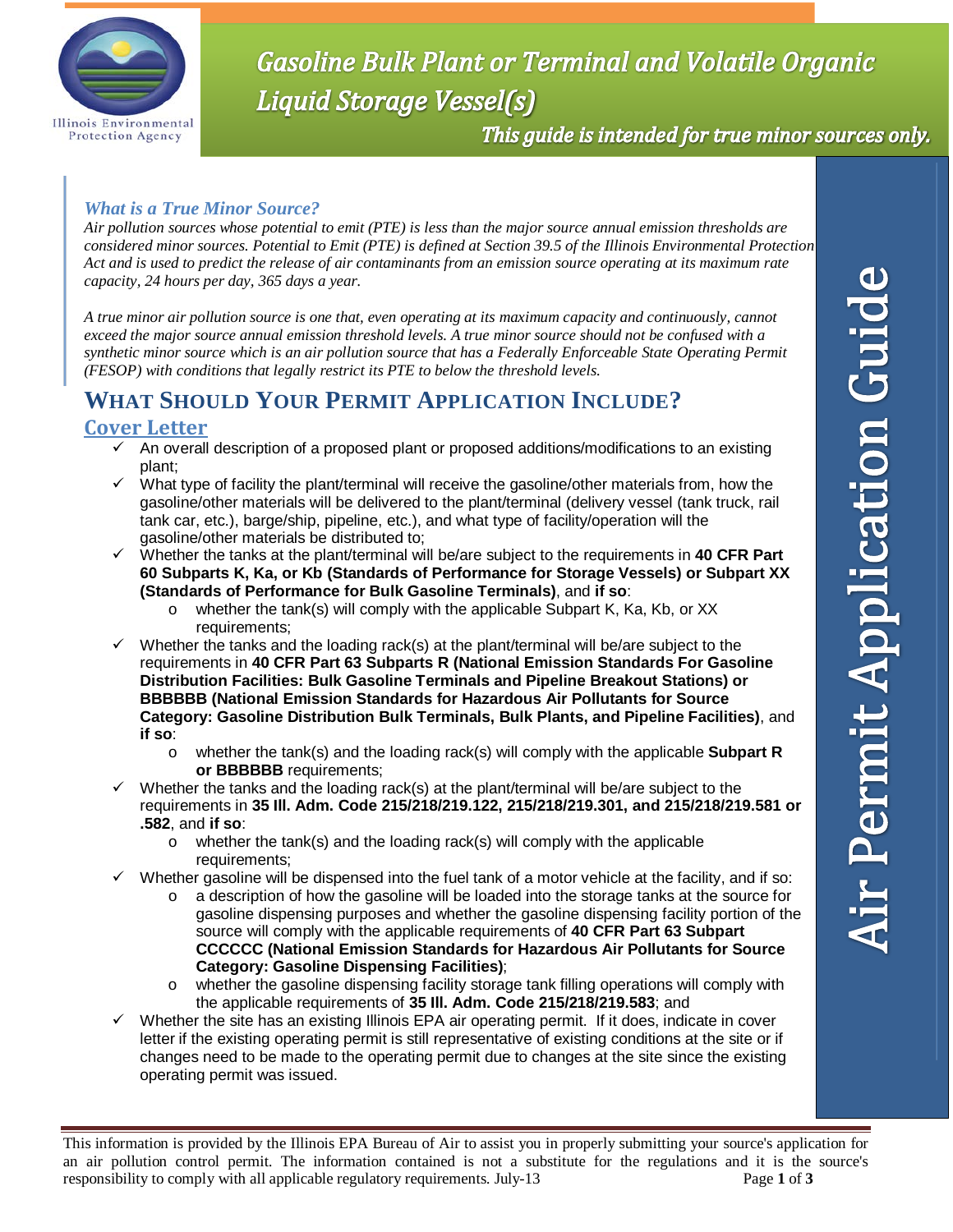

# **Gasoline Bulk Plant or Terminal and Volatile Organic** Liquid Storage Vessel(s)

This guide is intended for true minor sources only.

#### *What is a True Minor Source?*

*Air pollution sources whose potential to emit (PTE) is less than the major source annual emission thresholds are considered minor sources. Potential to Emit (PTE) is defined at Section 39.5 of the Illinois Environmental Protection Act and is used to predict the release of air contaminants from an emission source operating at its maximum rate capacity, 24 hours per day, 365 days a year.* 

*A true minor air pollution source is one that, even operating at its maximum capacity and continuously, cannot exceed the major source annual emission threshold levels. A true minor source should not be confused with a synthetic minor source which is an air pollution source that has a Federally Enforceable State Operating Permit (FESOP) with conditions that legally restrict its PTE to below the threshold levels.* 

## **WHAT SHOULD YOUR PERMIT APPLICATION INCLUDE?**

### **Cover Letter**

- $\checkmark$  An overall description of a proposed plant or proposed additions/modifications to an existing plant;
- $\checkmark$  What type of facility the plant/terminal will receive the gasoline/other materials from, how the gasoline/other materials will be delivered to the plant/terminal (delivery vessel (tank truck, rail tank car, etc.), barge/ship, pipeline, etc.), and what type of facility/operation will the gasoline/other materials be distributed to;
- Whether the tanks at the plant/terminal will be/are subject to the requirements in **40 CFR Part 60 Subparts K, Ka, or Kb (Standards of Performance for Storage Vessels) or Subpart XX (Standards of Performance for Bulk Gasoline Terminals)**, and **if so**:
	- $\circ$  whether the tank(s) will comply with the applicable Subpart K, Ka, Kb, or XX requirements;
- $\checkmark$  Whether the tanks and the loading rack(s) at the plant/terminal will be/are subject to the requirements in **40 CFR Part 63 Subparts R (National Emission Standards For Gasoline Distribution Facilities: Bulk Gasoline Terminals and Pipeline Breakout Stations) or BBBBBB (National Emission Standards for Hazardous Air Pollutants for Source Category: Gasoline Distribution Bulk Terminals, Bulk Plants, and Pipeline Facilities)**, and **if so**:
	- o whether the tank(s) and the loading rack(s) will comply with the applicable **Subpart R or BBBBBB** requirements;
- Whether the tanks and the loading rack(s) at the plant/terminal will be/are subject to the requirements in **35 Ill. Adm. Code 215/218/219.122, 215/218/219.301, and 215/218/219.581 or .582**, and **if so**:
	- o whether the tank(s) and the loading rack(s) will comply with the applicable requirements;
- $\checkmark$  Whether gasoline will be dispensed into the fuel tank of a motor vehicle at the facility, and if so:
	- $\circ$  a description of how the gasoline will be loaded into the storage tanks at the source for gasoline dispensing purposes and whether the gasoline dispensing facility portion of the source will comply with the applicable requirements of **40 CFR Part 63 Subpart CCCCCC (National Emission Standards for Hazardous Air Pollutants for Source Category: Gasoline Dispensing Facilities)**;
	- o whether the gasoline dispensing facility storage tank filling operations will comply with the applicable requirements of **35 Ill. Adm. Code 215/218/219.583**; and
- $\checkmark$  Whether the site has an existing Illinois EPA air operating permit. If it does, indicate in cover letter if the existing operating permit is still representative of existing conditions at the site or if changes need to be made to the operating permit due to changes at the site since the existing operating permit was issued.

r Permit Application Guide

This information is provided by the Illinois EPA Bureau of Air to assist you in properly submitting your source's application for an air pollution control permit. The information contained is not a substitute for the regulations and it is the source's responsibility to comply with all applicable regulatory requirements. July-13 Page **1** of **3**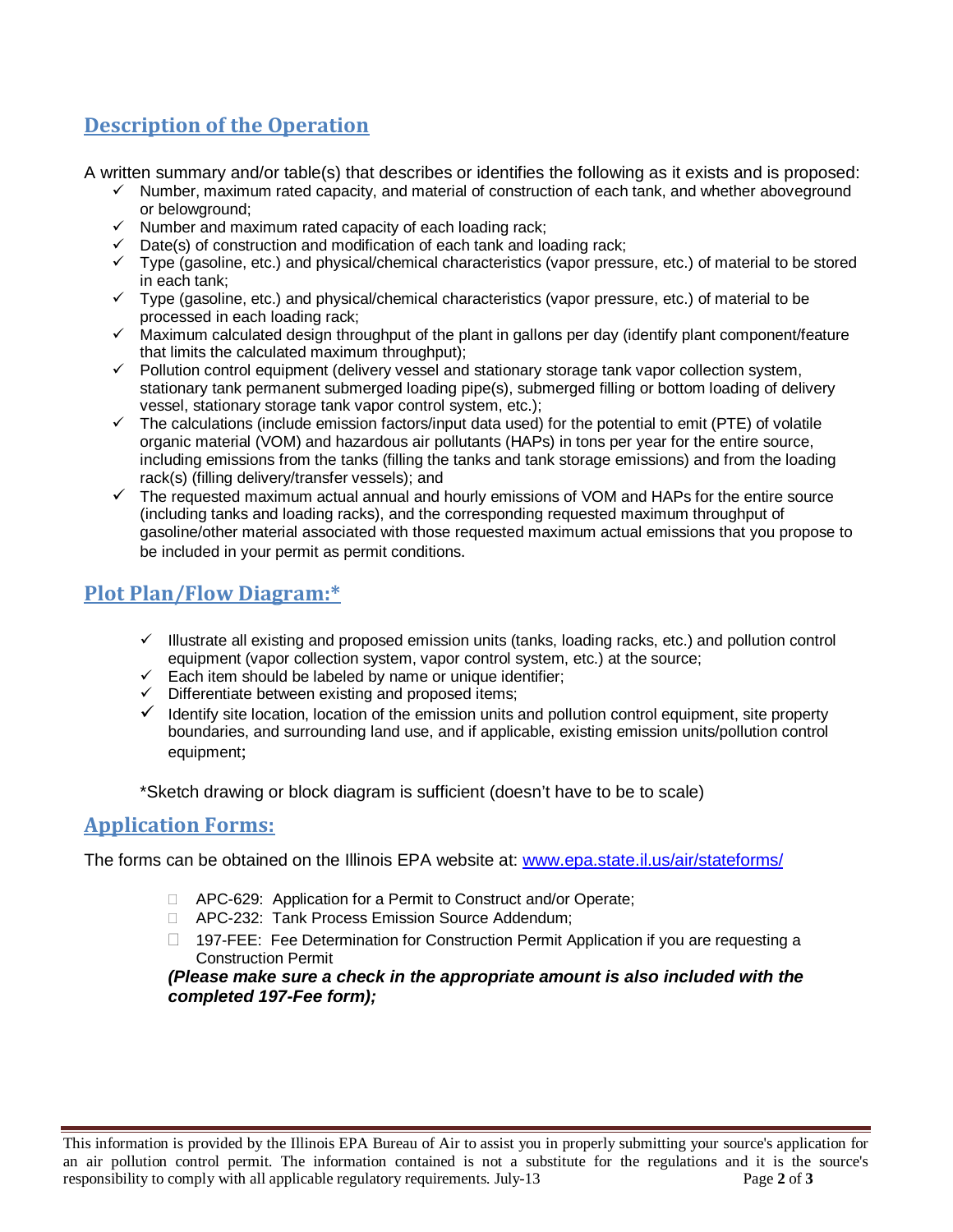## **Description of the Operation**

A written summary and/or table(s) that describes or identifies the following as it exists and is proposed:

- $\checkmark$  Number, maximum rated capacity, and material of construction of each tank, and whether aboveground or belowground;
- $\checkmark$  Number and maximum rated capacity of each loading rack;
- $\checkmark$  Date(s) of construction and modification of each tank and loading rack;
- Type (gasoline, etc.) and physical/chemical characteristics (vapor pressure, etc.) of material to be stored in each tank;
- $\checkmark$  Type (gasoline, etc.) and physical/chemical characteristics (vapor pressure, etc.) of material to be processed in each loading rack;
- $\checkmark$  Maximum calculated design throughput of the plant in gallons per day (identify plant component/feature that limits the calculated maximum throughput);
- $\checkmark$  Pollution control equipment (delivery vessel and stationary storage tank vapor collection system, stationary tank permanent submerged loading pipe(s), submerged filling or bottom loading of delivery vessel, stationary storage tank vapor control system, etc.);
- $\checkmark$  The calculations (include emission factors/input data used) for the potential to emit (PTE) of volatile organic material (VOM) and hazardous air pollutants (HAPs) in tons per year for the entire source, including emissions from the tanks (filling the tanks and tank storage emissions) and from the loading rack(s) (filling delivery/transfer vessels); and
- $\checkmark$  The requested maximum actual annual and hourly emissions of VOM and HAPs for the entire source (including tanks and loading racks), and the corresponding requested maximum throughput of gasoline/other material associated with those requested maximum actual emissions that you propose to be included in your permit as permit conditions.

## **Plot Plan/Flow Diagram:\***

- $\checkmark$  Illustrate all existing and proposed emission units (tanks, loading racks, etc.) and pollution control equipment (vapor collection system, vapor control system, etc.) at the source;
- $\checkmark$  Each item should be labeled by name or unique identifier;
- $\checkmark$  Differentiate between existing and proposed items;
- $\checkmark$  Identify site location, location of the emission units and pollution control equipment, site property boundaries, and surrounding land use, and if applicable, existing emission units/pollution control equipment;

\*Sketch drawing or block diagram is sufficient (doesn't have to be to scale)

#### **Application Forms:**

The forms can be obtained on the Illinois EPA website at: [www.epa.state.il.us/air/stateforms/](http://www.epa.state.il.us/air/stateforms/)

- □ APC-629: Application for a Permit to Construct and/or Operate;
- APC-232: Tank Process Emission Source Addendum;
- □ 197-FEE: Fee Determination for Construction Permit Application if you are requesting a Construction Permit

*(Please make sure a check in the appropriate amount is also included with the completed 197-Fee form);*